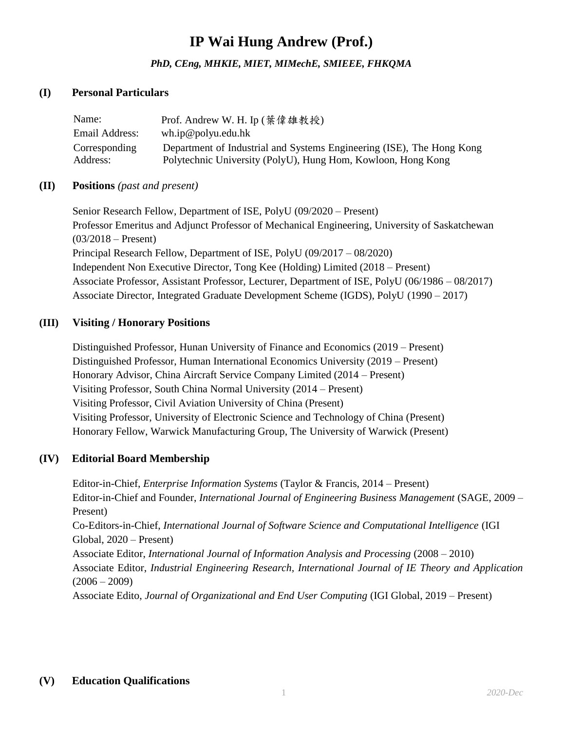# **IP Wai Hung Andrew (Prof.)**

*PhD, CEng, MHKIE, MIET, MIMechE, SMIEEE, FHKQMA*

#### **(I) Personal Particulars**

| Name:                     | Prof. Andrew W. H. Ip (葉偉雄教授)                                                                                                         |
|---------------------------|---------------------------------------------------------------------------------------------------------------------------------------|
| Email Address:            | wh.jp@polyu.edu.hk                                                                                                                    |
| Corresponding<br>Address: | Department of Industrial and Systems Engineering (ISE), The Hong Kong<br>Polytechnic University (PolyU), Hung Hom, Kowloon, Hong Kong |

#### **(II) Positions** *(past and present)*

Senior Research Fellow, Department of ISE, PolyU (09/2020 – Present) Professor Emeritus and Adjunct Professor of Mechanical Engineering, University of Saskatchewan  $(03/2018 -$ Present) Principal Research Fellow, Department of ISE, PolyU (09/2017 – 08/2020) Independent Non Executive Director, Tong Kee (Holding) Limited (2018 – Present) Associate Professor, Assistant Professor, Lecturer, Department of ISE, PolyU (06/1986 – 08/2017) Associate Director, Integrated Graduate Development Scheme (IGDS), PolyU (1990 – 2017)

#### **(III) Visiting / Honorary Positions**

Distinguished Professor, Hunan University of Finance and Economics (2019 – Present) Distinguished Professor, Human International Economics University (2019 – Present) Honorary Advisor, China Aircraft Service Company Limited (2014 – Present) Visiting Professor, South China Normal University (2014 – Present) Visiting Professor, Civil Aviation University of China (Present) Visiting Professor, University of Electronic Science and Technology of China (Present) Honorary Fellow, Warwick Manufacturing Group, The University of Warwick (Present)

#### **(IV) Editorial Board Membership**

Editor-in-Chief, *Enterprise Information Systems* (Taylor & Francis, 2014 – Present) Editor-in-Chief and Founder, *International Journal of Engineering Business Management* (SAGE, 2009 – Present) Co-Editors-in-Chief, *International Journal of Software Science and Computational Intelligence* (IGI Global, 2020 – Present) Associate Editor, *International Journal of Information Analysis and Processing* (2008 – 2010) Associate Editor, *Industrial Engineering Research, International Journal of IE Theory and Application*  $(2006 - 2009)$ Associate Edito, *Journal of Organizational and End User Computing* (IGI Global, 2019 – Present)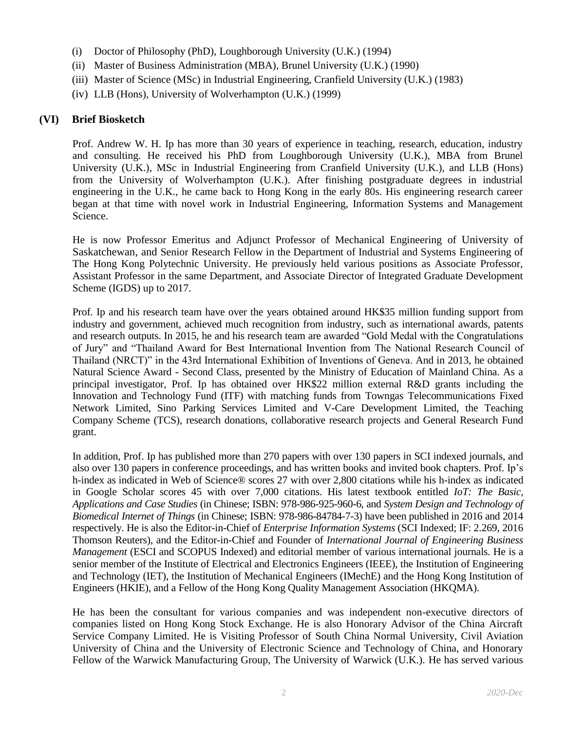- (i) Doctor of Philosophy (PhD), Loughborough University (U.K.) (1994)
- (ii) Master of Business Administration (MBA), Brunel University (U.K.) (1990)
- (iii) Master of Science (MSc) in Industrial Engineering, Cranfield University (U.K.) (1983)
- (iv) LLB (Hons), University of Wolverhampton (U.K.) (1999)

#### **(VI) Brief Biosketch**

Prof. Andrew W. H. Ip has more than 30 years of experience in teaching, research, education, industry and consulting. He received his PhD from Loughborough University (U.K.), MBA from Brunel University (U.K.), MSc in Industrial Engineering from Cranfield University (U.K.), and LLB (Hons) from the University of Wolverhampton (U.K.). After finishing postgraduate degrees in industrial engineering in the U.K., he came back to Hong Kong in the early 80s. His engineering research career began at that time with novel work in Industrial Engineering, Information Systems and Management Science.

He is now Professor Emeritus and Adjunct Professor of Mechanical Engineering of University of Saskatchewan, and Senior Research Fellow in the Department of Industrial and Systems Engineering of The Hong Kong Polytechnic University. He previously held various positions as Associate Professor, Assistant Professor in the same Department, and Associate Director of Integrated Graduate Development Scheme (IGDS) up to 2017.

Prof. Ip and his research team have over the years obtained around HK\$35 million funding support from industry and government, achieved much recognition from industry, such as international awards, patents and research outputs. In 2015, he and his research team are awarded "Gold Medal with the Congratulations of Jury" and "Thailand Award for Best International Invention from The National Research Council of Thailand (NRCT)" in the 43rd International Exhibition of Inventions of Geneva. And in 2013, he obtained Natural Science Award - Second Class, presented by the Ministry of Education of Mainland China. As a principal investigator, Prof. Ip has obtained over HK\$22 million external R&D grants including the Innovation and Technology Fund (ITF) with matching funds from Towngas Telecommunications Fixed Network Limited, Sino Parking Services Limited and V-Care Development Limited, the Teaching Company Scheme (TCS), research donations, collaborative research projects and General Research Fund grant.

In addition, Prof. Ip has published more than 270 papers with over 130 papers in SCI indexed journals, and also over 130 papers in conference proceedings, and has written books and invited book chapters. Prof. Ip's h-index as indicated in Web of Science® scores 27 with over 2,800 citations while his h-index as indicated in Google Scholar scores 45 with over 7,000 citations. His latest textbook entitled *IoT: The Basic, Applications and Case Studies* (in Chinese; ISBN: 978-986-925-960-6, and *System Design and Technology of Biomedical Internet of Things* (in Chinese; ISBN: 978-986-84784-7-3) have been published in 2016 and 2014 respectively. He is also the Editor-in-Chief of *Enterprise Information Systems* (SCI Indexed; IF: 2.269, 2016 Thomson Reuters), and the Editor-in-Chief and Founder of *International Journal of Engineering Business Management* (ESCI and SCOPUS Indexed) and editorial member of various international journals. He is a senior member of the Institute of Electrical and Electronics Engineers (IEEE), the Institution of Engineering and Technology (IET), the Institution of Mechanical Engineers (IMechE) and the Hong Kong Institution of Engineers (HKIE), and a Fellow of the Hong Kong Quality Management Association (HKQMA).

He has been the consultant for various companies and was independent non-executive directors of companies listed on Hong Kong Stock Exchange. He is also Honorary Advisor of the China Aircraft Service Company Limited. He is Visiting Professor of South China Normal University, Civil Aviation University of China and the University of Electronic Science and Technology of China, and Honorary Fellow of the Warwick Manufacturing Group, The University of Warwick (U.K.). He has served various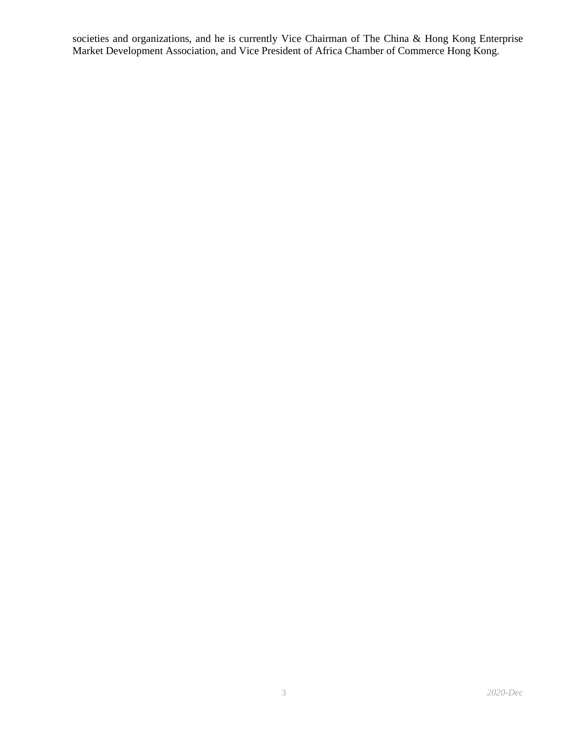societies and organizations, and he is currently Vice Chairman of The China & Hong Kong Enterprise Market Development Association, and Vice President of Africa Chamber of Commerce Hong Kong.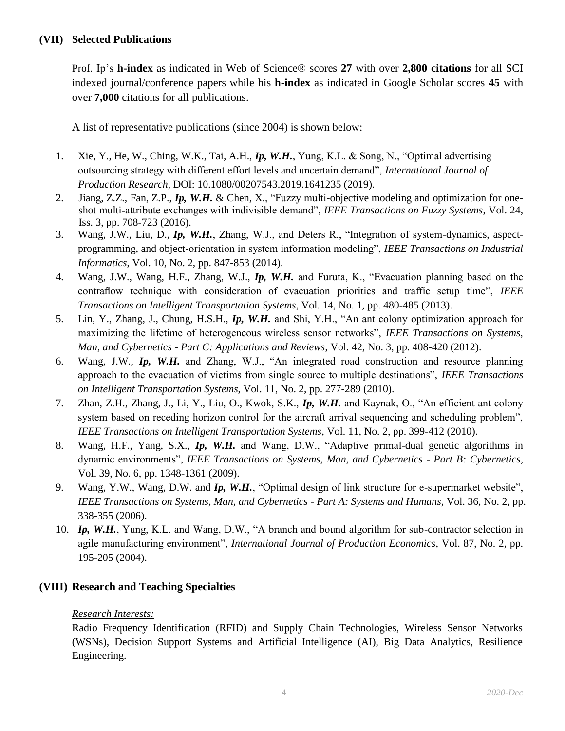Prof. Ip's **h-index** as indicated in Web of Science® scores **27** with over **2,800 citations** for all SCI indexed journal/conference papers while his **h-index** as indicated in Google Scholar scores **45** with over **7,000** citations for all publications.

A list of representative publications (since 2004) is shown below:

- 1. Xie, Y., He, W., Ching, W.K., Tai, A.H., *Ip, W.H.*, Yung, K.L. & Song, N., "Optimal advertising outsourcing strategy with different effort levels and uncertain demand", *International Journal of Production Research*, DOI: 10.1080/00207543.2019.1641235 (2019).
- 2. Jiang, Z.Z., Fan, Z.P., *Ip, W.H.* & Chen, X., "Fuzzy multi-objective modeling and optimization for oneshot multi-attribute exchanges with indivisible demand", *IEEE Transactions on Fuzzy Systems*, Vol. 24, Iss. 3, pp. 708-723 (2016).
- 3. Wang, J.W., Liu, D., *Ip, W.H.*, Zhang, W.J., and Deters R., "Integration of system-dynamics, aspectprogramming, and object-orientation in system information modeling", *IEEE Transactions on Industrial Informatics*, Vol. 10, No. 2, pp. 847-853 (2014).
- 4. Wang, J.W., Wang, H.F., Zhang, W.J., *Ip, W.H.* and Furuta, K., "Evacuation planning based on the contraflow technique with consideration of evacuation priorities and traffic setup time", *IEEE Transactions on Intelligent Transportation Systems*, Vol. 14, No. 1, pp. 480-485 (2013).
- 5. Lin, Y., Zhang, J., Chung, H.S.H., *Ip, W.H.* and Shi, Y.H., "An ant colony optimization approach for maximizing the lifetime of heterogeneous wireless sensor networks", *IEEE Transactions on Systems, Man, and Cybernetics - Part C: Applications and Reviews*, Vol. 42, No. 3, pp. 408-420 (2012).
- 6. Wang, J.W., *Ip, W.H.* and Zhang, W.J., "An integrated road construction and resource planning approach to the evacuation of victims from single source to multiple destinations", *IEEE Transactions on Intelligent Transportation Systems*, Vol. 11, No. 2, pp. 277-289 (2010).
- 7. Zhan, Z.H., Zhang, J., Li, Y., Liu, O., Kwok, S.K., *Ip, W.H.* and Kaynak, O., "An efficient ant colony system based on receding horizon control for the aircraft arrival sequencing and scheduling problem", *IEEE Transactions on Intelligent Transportation Systems*, Vol. 11, No. 2, pp. 399-412 (2010).
- 8. Wang, H.F., Yang, S.X., *Ip, W.H.* and Wang, D.W., "Adaptive primal-dual genetic algorithms in dynamic environments", *IEEE Transactions on Systems, Man, and Cybernetics - Part B: Cybernetics*, Vol. 39, No. 6, pp. 1348-1361 (2009).
- 9. Wang, Y.W., Wang, D.W. and *Ip, W.H.*, "Optimal design of link structure for e-supermarket website", *IEEE Transactions on Systems, Man, and Cybernetics - Part A: Systems and Humans*, Vol. 36, No. 2, pp. 338-355 (2006).
- 10. *Ip, W.H.*, Yung, K.L. and Wang, D.W., "A branch and bound algorithm for sub-contractor selection in agile manufacturing environment", *International Journal of Production Economics*, Vol. 87, No. 2, pp. 195-205 (2004).

# **(VIII) Research and Teaching Specialties**

# *Research Interests:*

Radio Frequency Identification (RFID) and Supply Chain Technologies, Wireless Sensor Networks (WSNs), Decision Support Systems and Artificial Intelligence (AI), Big Data Analytics, Resilience Engineering.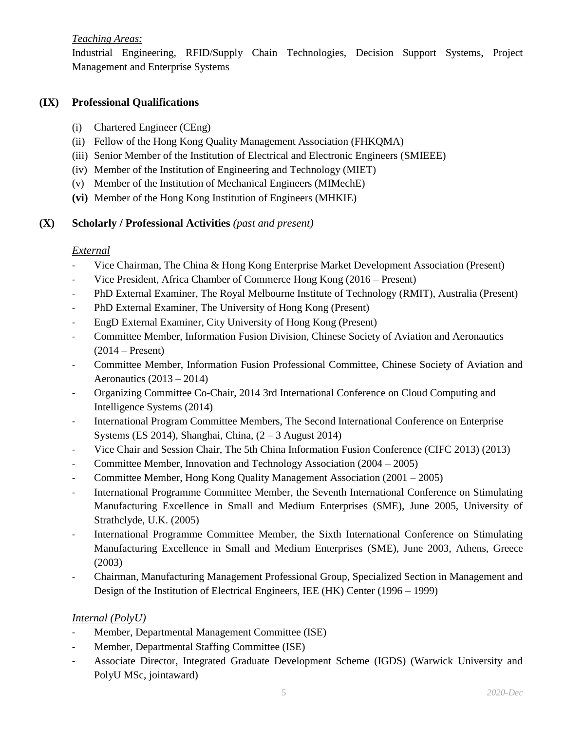## *Teaching Areas:*

Industrial Engineering, RFID/Supply Chain Technologies, Decision Support Systems, Project Management and Enterprise Systems

## **(IX) Professional Qualifications**

- (i) Chartered Engineer (CEng)
- (ii) Fellow of the Hong Kong Quality Management Association (FHKQMA)
- (iii) Senior Member of the Institution of Electrical and Electronic Engineers (SMIEEE)
- (iv) Member of the Institution of Engineering and Technology (MIET)
- (v) Member of the Institution of Mechanical Engineers (MIMechE)
- **(vi)** Member of the Hong Kong Institution of Engineers (MHKIE)

## **(X) Scholarly / Professional Activities** *(past and present)*

## *External*

- Vice Chairman, The China & Hong Kong Enterprise Market Development Association (Present)
- Vice President, Africa Chamber of Commerce Hong Kong (2016 Present)
- PhD External Examiner, The Royal Melbourne Institute of Technology (RMIT), Australia (Present)
- PhD External Examiner, The University of Hong Kong (Present)
- EngD External Examiner, City University of Hong Kong (Present)
- Committee Member, Information Fusion Division, Chinese Society of Aviation and Aeronautics  $(2014 -$ Present)
- Committee Member, Information Fusion Professional Committee, Chinese Society of Aviation and Aeronautics  $(2013 - 2014)$
- Organizing Committee Co-Chair, 2014 3rd International Conference on Cloud Computing and Intelligence Systems (2014)
- International Program Committee Members, The Second International Conference on Enterprise Systems (ES 2014), Shanghai, China,  $(2 - 3$  August 2014)
- Vice Chair and Session Chair, The 5th China Information Fusion Conference (CIFC 2013) (2013)
- Committee Member, Innovation and Technology Association (2004 2005)
- Committee Member, Hong Kong Quality Management Association (2001 2005)
- International Programme Committee Member, the Seventh International Conference on Stimulating Manufacturing Excellence in Small and Medium Enterprises (SME), June 2005, University of Strathclyde, U.K. (2005)
- International Programme Committee Member, the Sixth International Conference on Stimulating Manufacturing Excellence in Small and Medium Enterprises (SME), June 2003, Athens, Greece (2003)
- Chairman, Manufacturing Management Professional Group, Specialized Section in Management and Design of the Institution of Electrical Engineers, IEE (HK) Center (1996 – 1999)

# *Internal (PolyU)*

- Member, Departmental Management Committee (ISE)
- Member, Departmental Staffing Committee (ISE)
- Associate Director, Integrated Graduate Development Scheme (IGDS) (Warwick University and PolyU MSc, jointaward)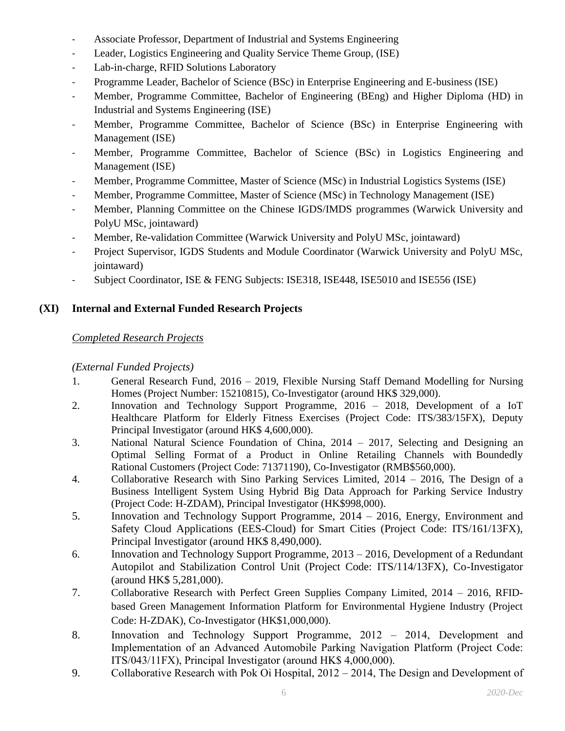- Associate Professor, Department of Industrial and Systems Engineering
- Leader, Logistics Engineering and Quality Service Theme Group, (ISE)
- Lab-in-charge, RFID Solutions Laboratory
- Programme Leader, Bachelor of Science (BSc) in Enterprise Engineering and E-business (ISE)
- Member, Programme Committee, Bachelor of Engineering (BEng) and Higher Diploma (HD) in Industrial and Systems Engineering (ISE)
- Member, Programme Committee, Bachelor of Science (BSc) in Enterprise Engineering with Management (ISE)
- Member, Programme Committee, Bachelor of Science (BSc) in Logistics Engineering and Management (ISE)
- Member, Programme Committee, Master of Science (MSc) in Industrial Logistics Systems (ISE)
- Member, Programme Committee, Master of Science (MSc) in Technology Management (ISE)
- Member, Planning Committee on the Chinese IGDS/IMDS programmes (Warwick University and PolyU MSc, jointaward)
- Member, Re-validation Committee (Warwick University and PolyU MSc, jointaward)
- Project Supervisor, IGDS Students and Module Coordinator (Warwick University and PolyU MSc, jointaward)
- Subject Coordinator, ISE & FENG Subjects: ISE318, ISE448, ISE5010 and ISE556 (ISE)

## **(XI) Internal and External Funded Research Projects**

## *Completed Research Projects*

#### *(External Funded Projects)*

- 1. General Research Fund, 2016 2019, Flexible Nursing Staff Demand Modelling for Nursing Homes (Project Number: 15210815), Co-Investigator (around HK\$ 329,000).
- 2. Innovation and Technology Support Programme, 2016 2018, Development of a IoT Healthcare Platform for Elderly Fitness Exercises (Project Code: ITS/383/15FX), Deputy Principal Investigator (around HK\$ 4,600,000).
- 3. National Natural Science Foundation of China, 2014 2017, Selecting and Designing an Optimal Selling Format of a Product in Online Retailing Channels with Boundedly Rational Customers (Project Code: 71371190), Co-Investigator (RMB\$560,000).
- 4. Collaborative Research with Sino Parking Services Limited, 2014 2016, The Design of a Business Intelligent System Using Hybrid Big Data Approach for Parking Service Industry (Project Code: H-ZDAM), Principal Investigator (HK\$998,000).
- 5. Innovation and Technology Support Programme, 2014 2016, Energy, Environment and Safety Cloud Applications (EES-Cloud) for Smart Cities (Project Code: ITS/161/13FX), Principal Investigator (around HK\$ 8,490,000).
- 6. Innovation and Technology Support Programme, 2013 2016, Development of a Redundant Autopilot and Stabilization Control Unit (Project Code: ITS/114/13FX), Co-Investigator (around HK\$ 5,281,000).
- 7. Collaborative Research with Perfect Green Supplies Company Limited, 2014 2016, RFIDbased Green Management Information Platform for Environmental Hygiene Industry (Project Code: H-ZDAK), Co-Investigator (HK\$1,000,000).
- 8. Innovation and Technology Support Programme, 2012 2014, Development and Implementation of an Advanced Automobile Parking Navigation Platform (Project Code: ITS/043/11FX), Principal Investigator (around HK\$ 4,000,000).
- 9. Collaborative Research with Pok Oi Hospital, 2012 2014, The Design and Development of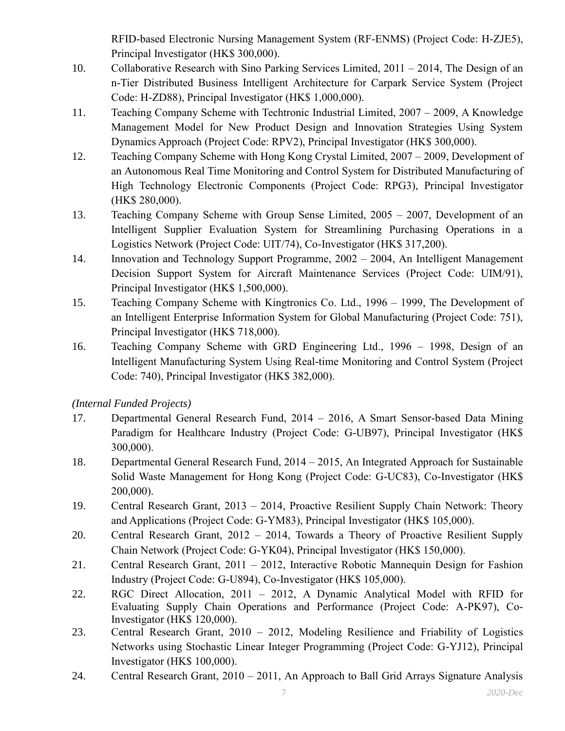RFID-based Electronic Nursing Management System (RF-ENMS) (Project Code: H-ZJE5), Principal Investigator (HK\$ 300,000).

- 10. Collaborative Research with Sino Parking Services Limited, 2011 2014, The Design of an n-Tier Distributed Business Intelligent Architecture for Carpark Service System (Project Code: H-ZD88), Principal Investigator (HK\$ 1,000,000).
- 11. Teaching Company Scheme with Techtronic Industrial Limited, 2007 2009, A Knowledge Management Model for New Product Design and Innovation Strategies Using System Dynamics Approach (Project Code: RPV2), Principal Investigator (HK\$ 300,000).
- 12. Teaching Company Scheme with Hong Kong Crystal Limited, 2007 2009, Development of an Autonomous Real Time Monitoring and Control System for Distributed Manufacturing of High Technology Electronic Components (Project Code: RPG3), Principal Investigator (HK\$ 280,000).
- 13. Teaching Company Scheme with Group Sense Limited, 2005 2007, Development of an Intelligent Supplier Evaluation System for Streamlining Purchasing Operations in a Logistics Network (Project Code: UIT/74), Co-Investigator (HK\$ 317,200).
- 14. Innovation and Technology Support Programme, 2002 2004, An Intelligent Management Decision Support System for Aircraft Maintenance Services (Project Code: UIM/91), Principal Investigator (HK\$ 1,500,000).
- 15. Teaching Company Scheme with Kingtronics Co. Ltd., 1996 1999, The Development of an Intelligent Enterprise Information System for Global Manufacturing (Project Code: 751), Principal Investigator (HK\$ 718,000).
- 16. Teaching Company Scheme with GRD Engineering Ltd., 1996 1998, Design of an Intelligent Manufacturing System Using Real-time Monitoring and Control System (Project Code: 740), Principal Investigator (HK\$ 382,000).

*(Internal Funded Projects)*

- 17. Departmental General Research Fund, 2014 2016, A Smart Sensor-based Data Mining Paradigm for Healthcare Industry (Project Code: G-UB97), Principal Investigator (HK\$ 300,000).
- 18. Departmental General Research Fund, 2014 2015, An Integrated Approach for Sustainable Solid Waste Management for Hong Kong (Project Code: G-UC83), Co-Investigator (HK\$ 200,000).
- 19. Central Research Grant, 2013 2014, Proactive Resilient Supply Chain Network: Theory and Applications (Project Code: G-YM83), Principal Investigator (HK\$ 105,000).
- 20. Central Research Grant, 2012 2014, Towards a Theory of Proactive Resilient Supply Chain Network (Project Code: G-YK04), Principal Investigator (HK\$ 150,000).
- 21. Central Research Grant, 2011 2012, Interactive Robotic Mannequin Design for Fashion Industry (Project Code: G-U894), Co-Investigator (HK\$ 105,000).
- 22. RGC Direct Allocation, 2011 2012, A Dynamic Analytical Model with RFID for Evaluating Supply Chain Operations and Performance (Project Code: A-PK97), Co-Investigator (HK\$ 120,000).
- 23. Central Research Grant, 2010 2012, Modeling Resilience and Friability of Logistics Networks using Stochastic Linear Integer Programming (Project Code: G-YJ12), Principal Investigator (HK\$ 100,000).
- 24. Central Research Grant, 2010 2011, An Approach to Ball Grid Arrays Signature Analysis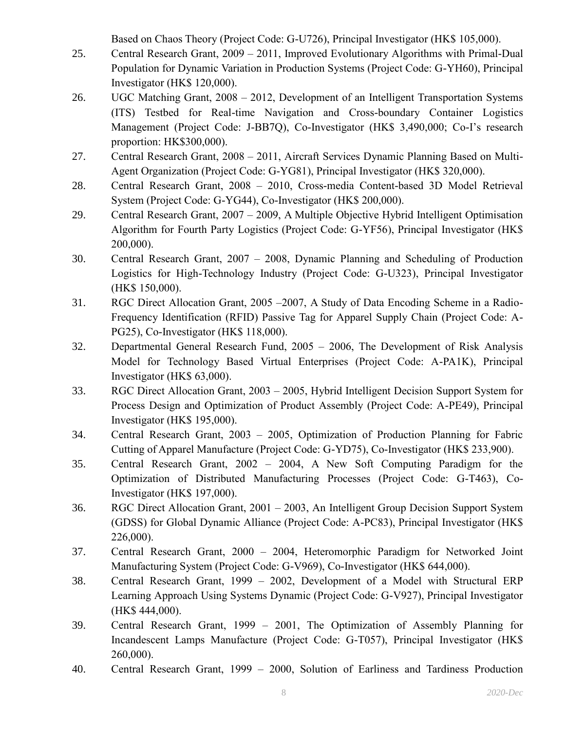Based on Chaos Theory (Project Code: G-U726), Principal Investigator (HK\$ 105,000).

- 25. Central Research Grant, 2009 2011, Improved Evolutionary Algorithms with Primal-Dual Population for Dynamic Variation in Production Systems (Project Code: G-YH60), Principal Investigator (HK\$ 120,000).
- 26. UGC Matching Grant, 2008 2012, Development of an Intelligent Transportation Systems (ITS) Testbed for Real-time Navigation and Cross-boundary Container Logistics Management (Project Code: J-BB7Q), Co-Investigator (HK\$ 3,490,000; Co-I's research proportion: HK\$300,000).
- 27. Central Research Grant, 2008 2011, Aircraft Services Dynamic Planning Based on Multi-Agent Organization (Project Code: G-YG81), Principal Investigator (HK\$ 320,000).
- 28. Central Research Grant, 2008 2010, Cross-media Content-based 3D Model Retrieval System (Project Code: G-YG44), Co-Investigator (HK\$ 200,000).
- 29. Central Research Grant, 2007 2009, A Multiple Objective Hybrid Intelligent Optimisation Algorithm for Fourth Party Logistics (Project Code: G-YF56), Principal Investigator (HK\$ 200,000).
- 30. Central Research Grant, 2007 2008, Dynamic Planning and Scheduling of Production Logistics for High-Technology Industry (Project Code: G-U323), Principal Investigator (HK\$ 150,000).
- 31. RGC Direct Allocation Grant, 2005 –2007, A Study of Data Encoding Scheme in a Radio-Frequency Identification (RFID) Passive Tag for Apparel Supply Chain (Project Code: A-PG25), Co-Investigator (HK\$ 118,000).
- 32. Departmental General Research Fund, 2005 2006, The Development of Risk Analysis Model for Technology Based Virtual Enterprises (Project Code: A-PA1K), Principal Investigator (HK\$ 63,000).
- 33. RGC Direct Allocation Grant, 2003 2005, Hybrid Intelligent Decision Support System for Process Design and Optimization of Product Assembly (Project Code: A-PE49), Principal Investigator (HK\$ 195,000).
- 34. Central Research Grant, 2003 2005, Optimization of Production Planning for Fabric Cutting of Apparel Manufacture (Project Code: G-YD75), Co-Investigator (HK\$ 233,900).
- 35. Central Research Grant, 2002 2004, A New Soft Computing Paradigm for the Optimization of Distributed Manufacturing Processes (Project Code: G-T463), Co-Investigator (HK\$ 197,000).
- 36. RGC Direct Allocation Grant, 2001 2003, An Intelligent Group Decision Support System (GDSS) for Global Dynamic Alliance (Project Code: A-PC83), Principal Investigator (HK\$ 226,000).
- 37. Central Research Grant, 2000 2004, Heteromorphic Paradigm for Networked Joint Manufacturing System (Project Code: G-V969), Co-Investigator (HK\$ 644,000).
- 38. Central Research Grant, 1999 2002, Development of a Model with Structural ERP Learning Approach Using Systems Dynamic (Project Code: G-V927), Principal Investigator (HK\$ 444,000).
- 39. Central Research Grant, 1999 2001, The Optimization of Assembly Planning for Incandescent Lamps Manufacture (Project Code: G-T057), Principal Investigator (HK\$ 260,000).
- 40. Central Research Grant, 1999 2000, Solution of Earliness and Tardiness Production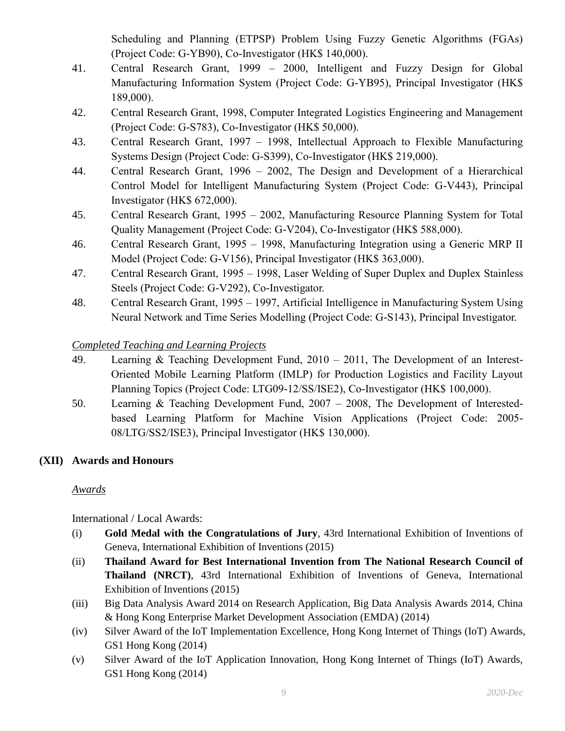Scheduling and Planning (ETPSP) Problem Using Fuzzy Genetic Algorithms (FGAs) (Project Code: G-YB90), Co-Investigator (HK\$ 140,000).

- 41. Central Research Grant, 1999 2000, Intelligent and Fuzzy Design for Global Manufacturing Information System (Project Code: G-YB95), Principal Investigator (HK\$ 189,000).
- 42. Central Research Grant, 1998, Computer Integrated Logistics Engineering and Management (Project Code: G-S783), Co-Investigator (HK\$ 50,000).
- 43. Central Research Grant, 1997 1998, Intellectual Approach to Flexible Manufacturing Systems Design (Project Code: G-S399), Co-Investigator (HK\$ 219,000).
- 44. Central Research Grant, 1996 2002, The Design and Development of a Hierarchical Control Model for Intelligent Manufacturing System (Project Code: G-V443), Principal Investigator (HK\$ 672,000).
- 45. Central Research Grant, 1995 2002, Manufacturing Resource Planning System for Total Quality Management (Project Code: G-V204), Co-Investigator (HK\$ 588,000).
- 46. Central Research Grant, 1995 1998, Manufacturing Integration using a Generic MRP II Model (Project Code: G-V156), Principal Investigator (HK\$ 363,000).
- 47. Central Research Grant, 1995 1998, Laser Welding of Super Duplex and Duplex Stainless Steels (Project Code: G-V292), Co-Investigator.
- 48. Central Research Grant, 1995 1997, Artificial Intelligence in Manufacturing System Using Neural Network and Time Series Modelling (Project Code: G-S143), Principal Investigator.

# *Completed Teaching and Learning Projects*

- 49. Learning & Teaching Development Fund, 2010 2011, The Development of an Interest-Oriented Mobile Learning Platform (IMLP) for Production Logistics and Facility Layout Planning Topics (Project Code: LTG09-12/SS/ISE2), Co-Investigator (HK\$ 100,000).
- 50. Learning & Teaching Development Fund, 2007 2008, The Development of Interestedbased Learning Platform for Machine Vision Applications (Project Code: 2005- 08/LTG/SS2/ISE3), Principal Investigator (HK\$ 130,000).

# **(XII) Awards and Honours**

# *Awards*

International / Local Awards:

- (i) **Gold Medal with the Congratulations of Jury**, 43rd International Exhibition of Inventions of Geneva, International Exhibition of Inventions (2015)
- (ii) **Thailand Award for Best International Invention from The National Research Council of Thailand (NRCT)**, 43rd International Exhibition of Inventions of Geneva, International Exhibition of Inventions (2015)
- (iii) Big Data Analysis Award 2014 on Research Application, Big Data Analysis Awards 2014, China & Hong Kong Enterprise Market Development Association (EMDA) (2014)
- (iv) Silver Award of the IoT Implementation Excellence, Hong Kong Internet of Things (IoT) Awards, GS1 Hong Kong (2014)
- (v) Silver Award of the IoT Application Innovation, Hong Kong Internet of Things (IoT) Awards, GS1 Hong Kong (2014)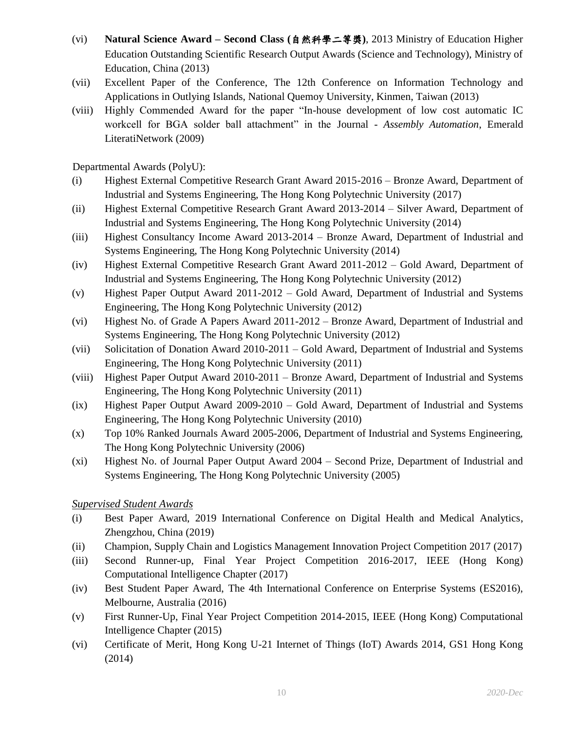- (vi) **Natural Science Award – Second Class (**自然科學二等獎**)**, 2013 Ministry of Education Higher Education Outstanding Scientific Research Output Awards (Science and Technology), Ministry of Education, China (2013)
- (vii) Excellent Paper of the Conference, The 12th Conference on Information Technology and Applications in Outlying Islands, National Quemoy University, Kinmen, Taiwan (2013)
- (viii) Highly Commended Award for the paper "In-house development of low cost automatic IC workcell for BGA solder ball attachment" in the Journal - *Assembly Automation*, Emerald LiteratiNetwork (2009)

Departmental Awards (PolyU):

- (i) Highest External Competitive Research Grant Award 2015-2016 Bronze Award, Department of Industrial and Systems Engineering, The Hong Kong Polytechnic University (2017)
- (ii) Highest External Competitive Research Grant Award 2013-2014 Silver Award, Department of Industrial and Systems Engineering, The Hong Kong Polytechnic University (2014)
- (iii) Highest Consultancy Income Award 2013-2014 Bronze Award, Department of Industrial and Systems Engineering, The Hong Kong Polytechnic University (2014)
- (iv) Highest External Competitive Research Grant Award 2011-2012 Gold Award, Department of Industrial and Systems Engineering, The Hong Kong Polytechnic University (2012)
- (v) Highest Paper Output Award 2011-2012 Gold Award, Department of Industrial and Systems Engineering, The Hong Kong Polytechnic University (2012)
- (vi) Highest No. of Grade A Papers Award 2011-2012 Bronze Award, Department of Industrial and Systems Engineering, The Hong Kong Polytechnic University (2012)
- (vii) Solicitation of Donation Award 2010-2011 Gold Award, Department of Industrial and Systems Engineering, The Hong Kong Polytechnic University (2011)
- (viii) Highest Paper Output Award 2010-2011 Bronze Award, Department of Industrial and Systems Engineering, The Hong Kong Polytechnic University (2011)
- (ix) Highest Paper Output Award 2009-2010 Gold Award, Department of Industrial and Systems Engineering, The Hong Kong Polytechnic University (2010)
- (x) Top 10% Ranked Journals Award 2005-2006, Department of Industrial and Systems Engineering, The Hong Kong Polytechnic University (2006)
- (xi) Highest No. of Journal Paper Output Award 2004 Second Prize, Department of Industrial and Systems Engineering, The Hong Kong Polytechnic University (2005)

*Supervised Student Awards*

- (i) Best Paper Award, 2019 International Conference on Digital Health and Medical Analytics, Zhengzhou, China (2019)
- (ii) Champion, Supply Chain and Logistics Management Innovation Project Competition 2017 (2017)
- (iii) Second Runner-up, Final Year Project Competition 2016-2017, IEEE (Hong Kong) Computational Intelligence Chapter (2017)
- (iv) Best Student Paper Award, The 4th International Conference on Enterprise Systems (ES2016), Melbourne, Australia (2016)
- (v) First Runner-Up, Final Year Project Competition 2014-2015, IEEE (Hong Kong) Computational Intelligence Chapter (2015)
- (vi) Certificate of Merit, Hong Kong U-21 Internet of Things (IoT) Awards 2014, GS1 Hong Kong (2014)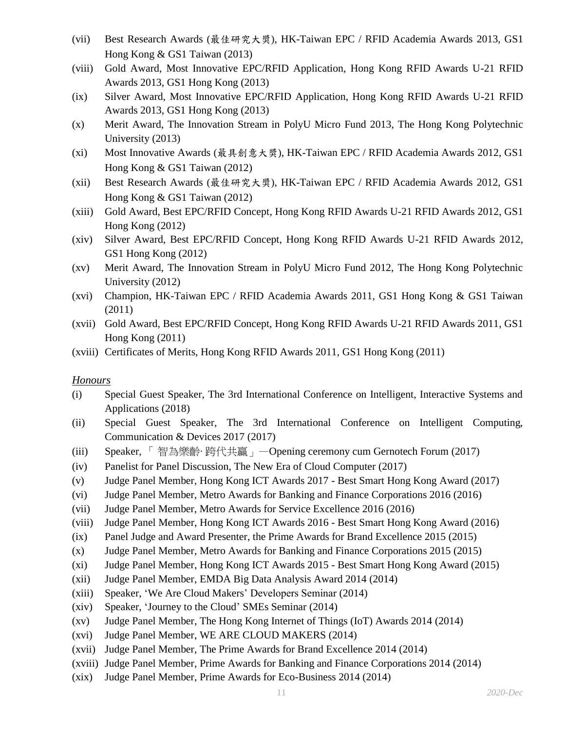- (vii) Best Research Awards (最佳研究大奬), HK-Taiwan EPC / RFID Academia Awards 2013, GS1 Hong Kong & GS1 Taiwan (2013)
- (viii) Gold Award, Most Innovative EPC/RFID Application, Hong Kong RFID Awards U-21 RFID Awards 2013, GS1 Hong Kong (2013)
- (ix) Silver Award, Most Innovative EPC/RFID Application, Hong Kong RFID Awards U-21 RFID Awards 2013, GS1 Hong Kong (2013)
- (x) Merit Award, The Innovation Stream in PolyU Micro Fund 2013, The Hong Kong Polytechnic University (2013)
- (xi) Most Innovative Awards (最具創意大奬), HK-Taiwan EPC / RFID Academia Awards 2012, GS1 Hong Kong & GS1 Taiwan (2012)
- (xii) Best Research Awards (最佳研究大奬), HK-Taiwan EPC / RFID Academia Awards 2012, GS1 Hong Kong & GS1 Taiwan (2012)
- (xiii) Gold Award, Best EPC/RFID Concept, Hong Kong RFID Awards U-21 RFID Awards 2012, GS1 Hong Kong (2012)
- (xiv) Silver Award, Best EPC/RFID Concept, Hong Kong RFID Awards U-21 RFID Awards 2012, GS1 Hong Kong (2012)
- (xv) Merit Award, The Innovation Stream in PolyU Micro Fund 2012, The Hong Kong Polytechnic University (2012)
- (xvi) Champion, HK-Taiwan EPC / RFID Academia Awards 2011, GS1 Hong Kong & GS1 Taiwan (2011)
- (xvii) Gold Award, Best EPC/RFID Concept, Hong Kong RFID Awards U-21 RFID Awards 2011, GS1 Hong Kong (2011)
- (xviii) Certificates of Merits, Hong Kong RFID Awards 2011, GS1 Hong Kong (2011)

#### *Honours*

- (i) Special Guest Speaker, The 3rd International Conference on Intelligent, Interactive Systems and Applications (2018)
- (ii) Special Guest Speaker, The 3rd International Conference on Intelligent Computing, Communication & Devices 2017 (2017)
- (iii) Speaker, 「 智為樂齡‧ 跨代共贏」—Opening ceremony cum Gernotech Forum (2017)
- (iv) Panelist for Panel Discussion, The New Era of Cloud Computer (2017)
- (v) Judge Panel Member, Hong Kong ICT Awards 2017 Best Smart Hong Kong Award (2017)
- (vi) Judge Panel Member, Metro Awards for Banking and Finance Corporations 2016 (2016)
- (vii) Judge Panel Member, Metro Awards for Service Excellence 2016 (2016)
- (viii) Judge Panel Member, Hong Kong ICT Awards 2016 Best Smart Hong Kong Award (2016)
- (ix) Panel Judge and Award Presenter, the Prime Awards for Brand Excellence 2015 (2015)
- (x) Judge Panel Member, Metro Awards for Banking and Finance Corporations 2015 (2015)
- (xi) Judge Panel Member, Hong Kong ICT Awards 2015 Best Smart Hong Kong Award (2015)
- (xii) Judge Panel Member, EMDA Big Data Analysis Award 2014 (2014)
- (xiii) Speaker, 'We Are Cloud Makers' Developers Seminar (2014)
- (xiv) Speaker, 'Journey to the Cloud' SMEs Seminar (2014)
- (xv) Judge Panel Member, The Hong Kong Internet of Things (IoT) Awards 2014 (2014)
- (xvi) Judge Panel Member, WE ARE CLOUD MAKERS (2014)
- (xvii) Judge Panel Member, The Prime Awards for Brand Excellence 2014 (2014)
- (xviii) Judge Panel Member, Prime Awards for Banking and Finance Corporations 2014 (2014)
- (xix) Judge Panel Member, Prime Awards for Eco-Business 2014 (2014)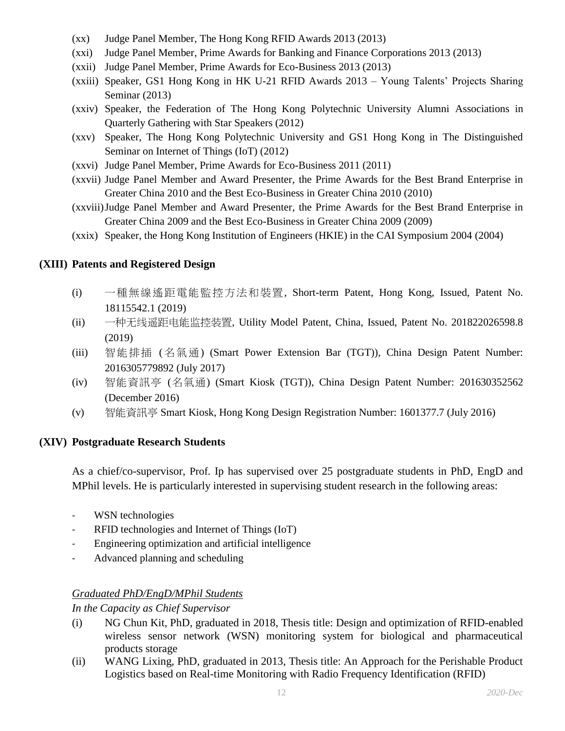- (xx) Judge Panel Member, The Hong Kong RFID Awards 2013 (2013)
- (xxi) Judge Panel Member, Prime Awards for Banking and Finance Corporations 2013 (2013)
- (xxii) Judge Panel Member, Prime Awards for Eco-Business 2013 (2013)
- (xxiii) Speaker, GS1 Hong Kong in HK U-21 RFID Awards 2013 Young Talents' Projects Sharing Seminar (2013)
- (xxiv) Speaker, the Federation of The Hong Kong Polytechnic University Alumni Associations in Quarterly Gathering with Star Speakers (2012)
- (xxv) Speaker, The Hong Kong Polytechnic University and GS1 Hong Kong in The Distinguished Seminar on Internet of Things (IoT) (2012)
- (xxvi) Judge Panel Member, Prime Awards for Eco-Business 2011 (2011)
- (xxvii) Judge Panel Member and Award Presenter, the Prime Awards for the Best Brand Enterprise in Greater China 2010 and the Best Eco-Business in Greater China 2010 (2010)
- (xxviii)Judge Panel Member and Award Presenter, the Prime Awards for the Best Brand Enterprise in Greater China 2009 and the Best Eco-Business in Greater China 2009 (2009)
- (xxix) Speaker, the Hong Kong Institution of Engineers (HKIE) in the CAI Symposium 2004 (2004)

#### **(XIII) Patents and Registered Design**

- (i) 一種無線遙距電能監控方法和裝置, Short-term Patent, Hong Kong, Issued, Patent No. 18115542.1 (2019)
- (ii) 一种无线遥距电能监控装置, Utility Model Patent, China, Issued, Patent No. 201822026598.8 (2019)
- (iii) 智能排插 (名氣通) (Smart Power Extension Bar (TGT)), China Design Patent Number: 2016305779892 (July 2017)
- (iv) 智能資訊亭 (名氣通) (Smart Kiosk (TGT)), China Design Patent Number: 201630352562 (December 2016)
- (v) 智能資訊亭 Smart Kiosk, Hong Kong Design Registration Number: 1601377.7 (July 2016)

#### **(XIV) Postgraduate Research Students**

As a chief/co-supervisor, Prof. Ip has supervised over 25 postgraduate students in PhD, EngD and MPhil levels. He is particularly interested in supervising student research in the following areas:

- WSN technologies
- RFID technologies and Internet of Things (IoT)
- Engineering optimization and artificial intelligence
- Advanced planning and scheduling

#### *Graduated PhD/EngD/MPhil Students*

*In the Capacity as Chief Supervisor*

- (i) NG Chun Kit, PhD, graduated in 2018, Thesis title: Design and optimization of RFID-enabled wireless sensor network (WSN) monitoring system for biological and pharmaceutical products storage
- (ii) WANG Lixing, PhD, graduated in 2013, Thesis title: An Approach for the Perishable Product Logistics based on Real-time Monitoring with Radio Frequency Identification (RFID)